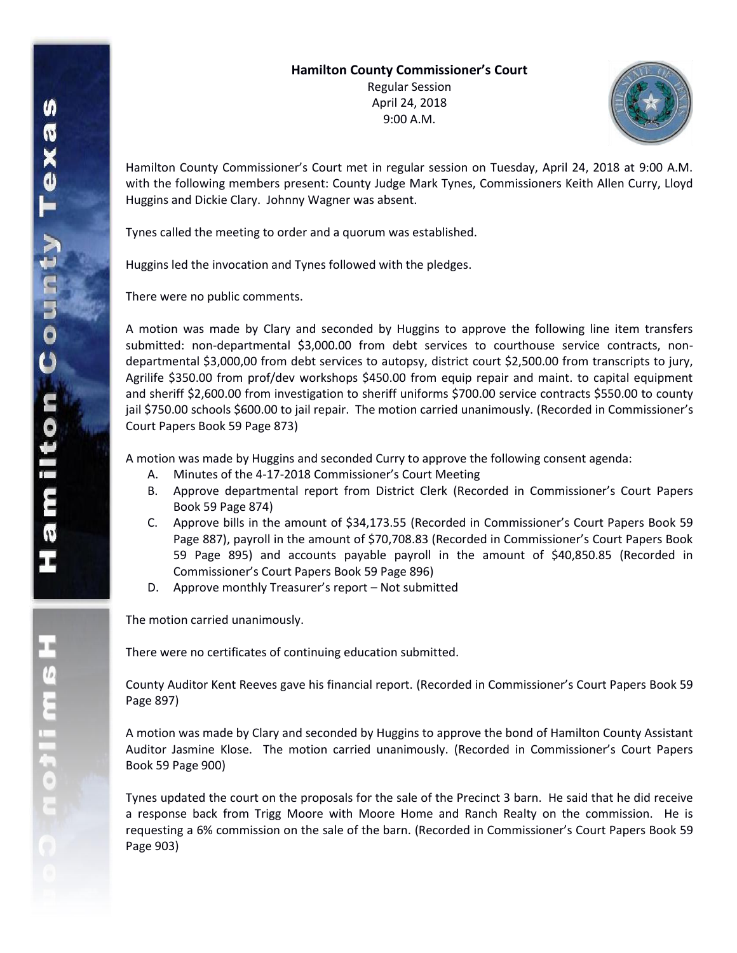## **Hamilton County Commissioner's Court**

Regular Session April 24, 2018 9:00 A.M.



Hamilton County Commissioner's Court met in regular session on Tuesday, April 24, 2018 at 9:00 A.M. with the following members present: County Judge Mark Tynes, Commissioners Keith Allen Curry, Lloyd Huggins and Dickie Clary. Johnny Wagner was absent.

Tynes called the meeting to order and a quorum was established.

Huggins led the invocation and Tynes followed with the pledges.

There were no public comments.

A motion was made by Clary and seconded by Huggins to approve the following line item transfers submitted: non-departmental \$3,000.00 from debt services to courthouse service contracts, nondepartmental \$3,000,00 from debt services to autopsy, district court \$2,500.00 from transcripts to jury, Agrilife \$350.00 from prof/dev workshops \$450.00 from equip repair and maint. to capital equipment and sheriff \$2,600.00 from investigation to sheriff uniforms \$700.00 service contracts \$550.00 to county jail \$750.00 schools \$600.00 to jail repair. The motion carried unanimously. (Recorded in Commissioner's Court Papers Book 59 Page 873)

A motion was made by Huggins and seconded Curry to approve the following consent agenda:

- A. Minutes of the 4-17-2018 Commissioner's Court Meeting
- B. Approve departmental report from District Clerk (Recorded in Commissioner's Court Papers Book 59 Page 874)
- C. Approve bills in the amount of \$34,173.55 (Recorded in Commissioner's Court Papers Book 59 Page 887), payroll in the amount of \$70,708.83 (Recorded in Commissioner's Court Papers Book 59 Page 895) and accounts payable payroll in the amount of \$40,850.85 (Recorded in Commissioner's Court Papers Book 59 Page 896)
- D. Approve monthly Treasurer's report Not submitted

The motion carried unanimously.

There were no certificates of continuing education submitted.

County Auditor Kent Reeves gave his financial report. (Recorded in Commissioner's Court Papers Book 59 Page 897)

A motion was made by Clary and seconded by Huggins to approve the bond of Hamilton County Assistant Auditor Jasmine Klose. The motion carried unanimously. (Recorded in Commissioner's Court Papers Book 59 Page 900)

Tynes updated the court on the proposals for the sale of the Precinct 3 barn. He said that he did receive a response back from Trigg Moore with Moore Home and Ranch Realty on the commission. He is requesting a 6% commission on the sale of the barn. (Recorded in Commissioner's Court Papers Book 59 Page 903)